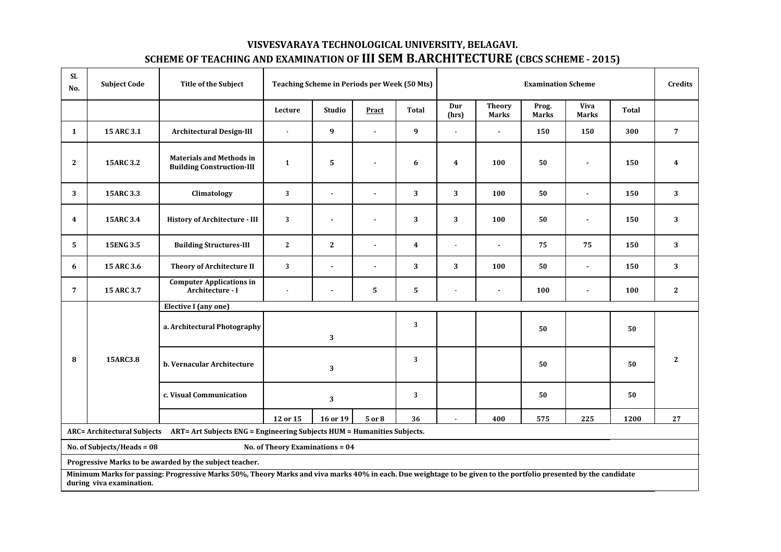## **VISVESVARAYA TECHNOLOGICAL UNIVERSITY, BELAGAVI. SCHEME OF TEACHING AND EXAMINATION OF III SEM B.ARCHITECTURE (CBCS SCHEME - 2015)**

| SI.<br>No.                                                                                                                                                                                   | <b>Subject Code</b> | <b>Title of the Subject</b>                                         | <b>Teaching Scheme in Periods per Week (50 Mts)</b> |                |                |                |                  | <b>Credits</b>                |                |                             |              |                |
|----------------------------------------------------------------------------------------------------------------------------------------------------------------------------------------------|---------------------|---------------------------------------------------------------------|-----------------------------------------------------|----------------|----------------|----------------|------------------|-------------------------------|----------------|-----------------------------|--------------|----------------|
|                                                                                                                                                                                              |                     |                                                                     | Lecture                                             | Studio         | Pract          | <b>Total</b>   | Dur<br>(hrs)     | <b>Theory</b><br><b>Marks</b> | Prog.<br>Marks | <b>Viva</b><br><b>Marks</b> | <b>Total</b> |                |
| 1                                                                                                                                                                                            | 15 ARC 3.1          | <b>Architectural Design-III</b>                                     | $\bullet$                                           | 9              | $\sim$         | 9              | $\sim$           | $\blacksquare$                | 150            | 150                         | 300          | $\overline{7}$ |
| $\mathbf{2}$                                                                                                                                                                                 | 15ARC 3.2           | <b>Materials and Methods in</b><br><b>Building Construction-III</b> | 1                                                   | 5              | $\blacksquare$ | 6              | $\boldsymbol{4}$ | 100                           | 50             | $\blacksquare$              | 150          | $\overline{4}$ |
| 3                                                                                                                                                                                            | 15ARC 3.3           | Climatology                                                         | 3                                                   | $\blacksquare$ | $\blacksquare$ | 3              | 3                | 100                           | 50             | $\blacksquare$              | 150          | $\mathbf{3}$   |
| 4                                                                                                                                                                                            | 15ARC 3.4           | History of Architecture - III                                       | $\mathbf{3}$                                        | $\blacksquare$ | $\overline{a}$ | $\sqrt{3}$     | 3                | 100                           | 50             | $\blacksquare$              | 150          | 3              |
| 5                                                                                                                                                                                            | 15ENG 3.5           | <b>Building Structures-III</b>                                      | $\mathbf{2}$                                        | $\mathbf{2}$   | $\overline{a}$ | $\overline{4}$ | $\blacksquare$   | $\blacksquare$                | 75             | 75                          | 150          | 3 <sup>1</sup> |
| 6                                                                                                                                                                                            | 15 ARC 3.6          | <b>Theory of Architecture II</b>                                    | 3                                                   | $\blacksquare$ | $\blacksquare$ | 3              | 3                | 100                           | 50             | $\blacksquare$              | 150          | $\mathbf{3}$   |
| 7                                                                                                                                                                                            | 15 ARC 3.7          | <b>Computer Applications in</b><br>Architecture - I                 | $\blacksquare$                                      | $\blacksquare$ | 5              | 5              |                  |                               | 100            | ä,                          | 100          | $\mathbf{2}$   |
|                                                                                                                                                                                              |                     | Elective I (any one)                                                |                                                     |                |                |                |                  |                               |                |                             |              |                |
| 8                                                                                                                                                                                            | 15ARC3.8            | a. Architectural Photography                                        | 3<br>3                                              |                |                |                |                  |                               | 50             |                             | 50           |                |
|                                                                                                                                                                                              |                     | b. Vernacular Architecture                                          |                                                     | 3              |                | 3              |                  |                               | 50             |                             | 50           | $\mathbf{2}$   |
|                                                                                                                                                                                              |                     | c. Visual Communication                                             |                                                     | 3              |                | 3              |                  |                               | 50             |                             | 50           |                |
|                                                                                                                                                                                              |                     |                                                                     | 12 or 15                                            | 16 or 19       | 5 or 8         | 36             |                  | 400                           | 575            | 225                         | 1200         | 27             |
| ARC= Architectural Subjects ART= Art Subjects ENG = Engineering Subjects HUM = Humanities Subjects.                                                                                          |                     |                                                                     |                                                     |                |                |                |                  |                               |                |                             |              |                |
| No. of Subjects/Heads = 08<br>No. of Theory Examinations = 04                                                                                                                                |                     |                                                                     |                                                     |                |                |                |                  |                               |                |                             |              |                |
| Progressive Marks to be awarded by the subject teacher.                                                                                                                                      |                     |                                                                     |                                                     |                |                |                |                  |                               |                |                             |              |                |
| Minimum Marks for passing: Progressive Marks 50%, Theory Marks and viva marks 40% in each. Due weightage to be given to the portfolio presented by the candidate<br>during viva examination. |                     |                                                                     |                                                     |                |                |                |                  |                               |                |                             |              |                |